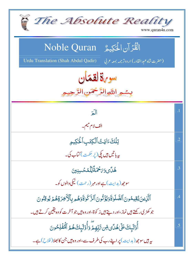| The Absolute Reality<br>www.quran4u.com                                                                                          |                 |
|----------------------------------------------------------------------------------------------------------------------------------|-----------------|
| الْقُرْآنِ الْحَكِيمُ ِ Noble Quran<br>Urdu Translation (Shah Abdul Qadir)<br>(حضرت شاه عبد القادر) اردوتر <i>جمه بمعه ع</i> ربي |                 |
| سويةلققان<br>بِسْمِ اللَّهِ الرَّحْمَنِ.                                                                                         |                 |
| $\sqrt{2}$                                                                                                                       | $\overline{.1}$ |
| الف لام کمیم۔                                                                                                                    |                 |
| تِلَكَءَايَثُ ٱلْكِتَبِ ٱلْحَكِيمِ                                                                                               | $\cdot$ .2      |
| بہ ہاتیں ہیں یکی( <sub>پُر</sub> حِکمت ) کتاب کی۔                                                                                |                 |
| ۿؙڷؘؽۅؘؽؘڂؖٛۿؘڐؘؖڵۣڷۿڂڛڹۣێڹ                                                                                                      | .3              |
| سوجھ(ہدایت) ہے اور مہ <sub>ر</sub> (رحمت) نیکی والوں کو۔                                                                         |                 |
| ٱلَّٰٓزِينَ يُقِيمُونَ ٱلصَّلَوٰةَ وَيُؤۡتُونَ ٱلزَّكَوٰةَ وَهُمۡ بِٱلۡأَخِرَةِهُمۡ يُوقِنُونَ                                   | 4               |
| جو کھڑی رکھتے ہیں نماز ،اور دیتے ہیں ز کو ة ،اور وہ ہیں جو آخر ت کو وہ یقین کرتے ہیں۔                                            |                 |
| أُوۡلَٰٓيٕكَ عَلَىٰهُلَّى مِّن رَّبِّهِمَّ وَأُوۡلَٰٓيٖكَ هُمُ ٱلۡفَلۡلِحُونَ                                                    | .5 <sub>1</sub> |
| ىيە ہيں سوجھ ( ہدايت ) پر اپنے رب كى طرف سے ،اور وہ ہيں جن كا بھلا( فلاح) ہے ۔                                                   |                 |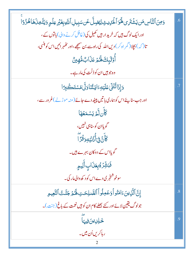| <u>وَمِنَ</u> ٱلنَّاسِ مَن يَشۡنَرِى لَهَ وَٱلۡىٰٓلِيِّ لِيُضِلَّ عَن سَبِيلِ ٱللَّهِ بِغَيۡرِ عِلۡمِ وَيَتَّخِذَهَا هُزُوَّا | .6 |
|-------------------------------------------------------------------------------------------------------------------------------|----|
| اور ایک لوگ ہیں کہ خرید ار ہیں کھیل کی (غافل کرنے والی) باتوں کے ،                                                            |    |
| تا( کہ )بچلا( گمر اہ کر ) دیں اللہ کی راہ سے بن صبحے ،اور حُکمبر ائیں اس کو ہنسی،                                             |    |
| ٲؙٛۏ <i>ڶ</i> ٙۑٕڬۿٙػۄٙڡؘۮؘٳٮؚ۠ۿ۠ۿٟؿ۠                                                                                         |    |
| وہ جو ہیں ان کو ذلّت کی مار ہے۔                                                                                               |    |
| وَإِذَاتُّتُلَىٰ عَلَيۡهِۦٓالِیَّتُّنَا وَلَّیٰ مُسۡتَخَلِّاِ َ                                                               | .7 |
| اور جب سنا پئے اس کو ہماری با تیں پیٹھ دے جائے( منہ موڑ لے )غرور سے،                                                          |    |
| ؘػأن <i>لَّمَ يَسْمَعُهَا</i>                                                                                                 |    |
| گویاان کوسناہی نہیں،                                                                                                          |    |
| ؘ<br>ڬۜٲۧڹ <i>ؖ</i> ۫ٙڹ۬ٵؙ۠ۮؙڹؘؽؘ <sub>ؙ</sub> ٶؘڎۘڒؖٵؖ                                                                       |    |
| گویااس کے دوکان بہرے ہیں۔                                                                                                     |    |
| فَبَشِّرُهُ بِعَذَابِ أَلِيمِ                                                                                                 |    |
| سوخوشنجری دے اس کو د کھ والی مار کی۔                                                                                          |    |
| إِنَّ الَّذِينَ ءَامَنُو أَوَعَمِلُواْ الصَّلِحَتِ لَهُمْ جَنَّكَ النَّعِيمِ                                                  | .8 |
| جولوگ یقین لائے اور کئے بھلے کام ان کو ہیں نعمت کے باغ (جنت )۔                                                                |    |
| عا<br>ځلِلِيتن <b>فِيهَا</b>                                                                                                  | .9 |
| ر ہاکریں اُن میں۔                                                                                                             |    |
| 2                                                                                                                             |    |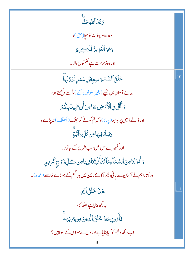| وَعَْدَالَّللَّٰهِ حَقًّا                                                      |     |
|--------------------------------------------------------------------------------|-----|
| وعده ہو چکااللہ کاسچا(حق)،                                                     |     |
| وَهُوَٱلۡعَزِيزُ ٱلۡحَكِيمُ                                                    |     |
| اور وہ زبر ست ہے حکمتوں والا۔                                                  |     |
| خَلَقَ ٱلسَّمَرَاتِبِغَيْرِ عَمَلٍاتَرَوْنَهَا                                 | .10 |
| بنائے آسان بن ٹیکے (بغیر ستونوں کے )،اُسے دیکھتے ہو،                           |     |
| وَأَلْقَىٰ فِى ٱلْأَمْهِضِ مَوَاسِىَ أَن تَمِيدَ بِكُمْ                        |     |
| اور ڈالے زمین پر بوجھ (پہاڑ)، کہ تم کولے کر جھگ (ڈُھلک) نہ پڑے،                |     |
| <u>وَبَثَّ فِيهَ</u> أَمِن گُلِّدَآبَّةٍ                                       |     |
| اور بکھیرے اس میں سب طرح کے جانور۔                                             |     |
| وَأَنزَلْنَامِنَ ٱلسَّمَاءِمَآءَۚ فَأَنۡبَٰتُنَافِيهَامِن كُلِّ زَوۡجِ كَرِيمٍ |     |
| اور اُتاراہم نے آسان سے پانی، پھر اُگائے زمین میں ہر قسِم کے جوڑے خاصے (عمدہ)۔ |     |
| هَذَا خَلَقُ ٱللَّهِ                                                           | .11 |
| ىيە يې <del>چ</del> ھ بنايا ہے اللہ كا،                                        |     |
| فَأَمُونِى مَاذَا حَلَقَ ٱلَّذِينَ مِن دُونِهِ                                 |     |
| اب د کھاؤ مجھ کو کیا بنایاہے اوروں نے جو اس کے سواہیں؟                         |     |
| 3                                                                              |     |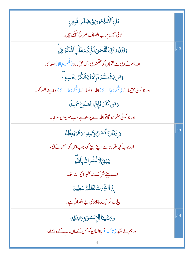| بَلِٱلظَّلِمُونَ فِى ضَلَلٍ مُّبِينِ                                            |     |
|---------------------------------------------------------------------------------|-----|
| کوئی نہیں پر بے انصاف صریح بہکتے ہیں۔                                           |     |
| وَلَقَلۡءَاتَيۡنَالۡقَقَصَنَ ٱلۡلِكَٰمَةَأَنِ ٱشۡكُرۡ لِلَّهِ                   | .12 |
| اور ہم نے دی ہے لقمان کو عقلمندی، کہ حق مان(شگر بجالا)اللہ کا۔                  |     |
| <b>وَمَن يَشۡڪُرۡۖ فَإِنَّهَايَشۡكُرُ لِنَفۡسِهِۦ</b>                           |     |
| اور جو کوئی حق مانے (شُکر بجالائے)اللہ کا تومانے (شُکر بجالائے) گااپنے بھلے کو۔ |     |
| وَمَن كَفَرَ فَإِنَّ اللَّهَ غَنِّ كَمِيدٌ                                      |     |
| اور جو کوئی منکر ہو گاتواللہ بے پر واہ ہے سب خوبیوں سر اہا۔                     |     |
| ۯٳؚۮؘۊؘٳڶڷقٞڡؘ؈ؙٳۯڹڹ؈ٷۿۏؾۼڟؙڡؗ                                                  | .13 |
| اور جب کہالقمان ے اپنے بیٹے کو، جب اس کو سمجھانے لگا،                           |     |
| <b>ؾ</b> ڹٛۏٙ <sub>ٵۜ</sub> ۯڐ۠ۺ۫ٞڔؚڬٙٛڹٲٮ <i>ڐ</i> ؖ                           |     |
| اے بیٹے شریک نہ تھٰہرائیواللّٰہ کا۔                                             |     |
| إِنَّ ٱلَّشِّرُكَ لَظُّلُمٌ عَظِيمٌ                                             |     |
| بیٹک شریک بنانابڑی بے انصافی ہے۔                                                |     |
| وَوَصَّيْنَا ٱلْإِنسَنَ بِوَالِدَيْهِ                                           | .14 |
| اور ہم نے تقییر ( تا کید ) کیاانسان کواُس کے ماں باپ کے واسطے ،                 |     |
|                                                                                 |     |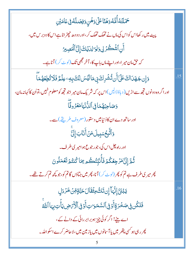| <i>ڂ</i> ؘٮٙڶؿٞڟٲ۠۠۠۠۠۠ۿ۠ڡ۠ۏۿڹٙٵػڶڶۏۿڹۣۏڣڞڶڷڡٞڣۣ۬ػٲڡؘؽٙڹؚ                                                                |     |
|--------------------------------------------------------------------------------------------------------------------------|-----|
| پیٹ میں رکھااس کواس کی ماں نے تھک تھک کر ،اور دودھ چھڑ اناہے اس کا دوبر س میں ،                                          |     |
| آَنِ ٱشۡكُرۡ لِى وَلِوَالِدَيۡكَ إِلَىٰٓ ٱلۡمَصِيدُ                                                                      |     |
| کہ حق مان میر ا،اور اپنے ماں باپ کا، آخر مجھی تک ( <sup>ل</sup> وٹ کر) آناہے۔                                            |     |
| <u>وَإِن جَهَدَاكَ عَلَىٰٓ</u> أَن تُشُرِكَ بِى مَالَيۡسَ لَكَ بِهِۦ عِلۡمٌ فَلَا تُطِعۡهُمَآ                            | .15 |
| اور اگر وہ دونوں ت <mark>جھ سے اڑیں ( دباؤڈالیں )اس پر کہ شریک مان میر اجو تجھ کو معلوم نہیں، تواُن کا کہانہ مان،</mark> |     |
| وَصَاحِبُهُمَا فِى ٱلدُّنۡيَامَعۡرُوفَّآ                                                                                 |     |
| اور ساتھ دے ان کاڈنیامیں دستور (معروف طریقے) سے۔                                                                         |     |
| ؘ<br>وَٱتَّبِحۡسَبِيلَمَنۡ أَنَابَ إِلَيَّ                                                                               |     |
| اور راہ چل اس کی، جو رجوع ہو امیر ی طرف۔                                                                                 |     |
| ثُمَّ إِلَىَّ مَرْجِعُكُمۡ فَأَنبِّئُكُم بِمَا كُنتُمۡ تَعۡمَلُونَ                                                       |     |
| پھر میری طرف ہے تم کو پھر (لوٹ کر) آنا، پھر میں جناؤں گاتم کو،جو کچھ تم کرتے تھے۔                                        |     |
| ؾڹٛؿؘ <i>ٙ</i> ٳؚڶٞؠؘٵۧٳؚڹؾؘڬ۠ۅۼؙڤؘٲڶؘڂڹۜۊٟڡؚ <i>ٚڽ۫ڂ</i> ٙۯڐڸؚ                                                          | .16 |
| فَتَكُن فِى صَخْرَةٍ أَوۡ فِى ٱلسَّمَرَاتِ أَوۡ فِى ٱلۡلَٰٓ مَٰٓ صِى يَأۡتِ بِهَا ٱللَّهُ                                |     |
| اے بیٹے! اگر کوئی چیز ہوبر ابر رائی کے دانے کے،                                                                          |     |
| <i>پھر د</i> ہی ہو <sup>کس</sup> ی پتھر میں یا آسانوں میں یاز مین میں،لاحاضر کرے اسکواللّٰہ۔                             |     |
|                                                                                                                          |     |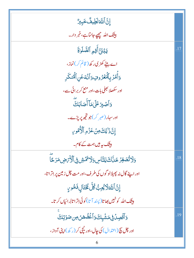| إِنَّ ٱللَّهَ لَطِيفٌ خَبِيرٌ                                                          |     |
|----------------------------------------------------------------------------------------|-----|
| <b>بيتَک الله حصٍّ جانباَہے،خبر دار۔</b>                                               |     |
| يَبْنَ أَقِمِ ٱلصَّلَاةَ                                                               |     |
| اے بیٹے کھڑی رکھ( قائم کر) نماز،                                                       |     |
| وَأَهُرَ بِٱلۡمَٰٓعُرُوبِ وَٱنٰۡٓىٰٓعَنِٱلۡٱمۡنكَرِ                                    |     |
| اور سکھلا بھلی بات،اور منع کربرائی سے،                                                 |     |
| وَأَصۡبِرۡ عَلَىٰ مَآ أَصَابَكَ                                                        |     |
| اور سہار (صبر کر)جو تجھ پر پڑے۔                                                        |     |
| إِنَّ ذَٰ لِكَ مِنۡ عَزۡ مِ ٱلۡكُّمُوِي                                                |     |
| بیٹک بیر ہیں ہمت کے کام۔                                                               |     |
| <u>ۅ</u> ؘڷٲؿؙؗڞۼۯڿڷڶ <sup>ۣ</sup> ؋ٳڸڹ۠ۜٲڛۅؘڷٲ <i>؞ٞٙۿٙ</i> ۺ؋ۣٲڷۯۢ <i>ڋۻ</i> ؚڡؘڔڿؖٲ | .18 |
| اور اپنے گال نہ پھیلالو گوں کی طرف،اور مت چل زمین پر اِتراتا،                          |     |
| إِنَّ اَللَّهَ لَا يُجِبُّ كُلَّ فَخْتَالٍ فَخُورٍ                                     |     |
| بیٹنک اللّٰہ کو نہیں بھاتا( پسند آتا) کوئی اِترا تابُر ائیاں کر تا۔                    |     |
| <u>ۄ</u> ٲؗڐۘ۫ڝؚڶ؋ۣڡۺؘٛۑ۪ڮٙۅؘٲۼؘ۫ڞ۠ڞ۞ؚ؈ڡؘۯؾؚڮ                                          | .19 |
| اور چل پیچ (اعتدال) کی جال،اور نیچی کر (رکھ)اپنی آواز،                                 |     |
| 6                                                                                      |     |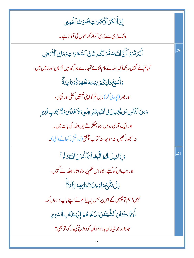| إِنَّ أَنكَرَ ٱلْأَصَٰوَاتِ لَصَوْتُ ٱلْحَمِيرِ                                            |     |
|--------------------------------------------------------------------------------------------|-----|
| بیٹنگ بُر کی سے بُر کی آواز گد ھوں کی آواز ہے۔                                             |     |
| أَلَمَ تَرَوۡأَأَنَّ ٱللَّٰهَ سَخَّرَ لَكُم مَّا فِى ٱلسَّمَوَٰ تِ وَمَا فِى ٱلْأَرۡصَٰ    | .20 |
| کیاتم نے نہیں دیکھا کہ اللہ نے کام لگائے تمہارے جو کچھ ہیں آسان اور زمین میں،              |     |
| وَأَشْبَغَ عَلَيۡكُمۡ نِعَمَهُ ظَٰلِوۡرَۃٗۤوَبَاٰطِنَةٞٞ                                   |     |
| اور بھر (پوری کر) دیں تم کواپنی نعمتیں کھلی اور چچپی،                                      |     |
| وَمِنَ ٱلنَّاسِ مَن يُجَدِلُ فِى ٱللَّهِبِغَيْرِ عِلْمٍ وَلَا هُدَّى وَلَا كِتَبِ مُّنِيرٍ |     |
| اور ایک آدمی وہ <i>ہیں،جو جھگڑتے ہیں</i> اللہ کی بات میں۔                                  |     |
| نہ سمجھ رکھیں، نہ سوجھ، نہ کتاب چمکتی(روشنی د کھانے والی)۔                                 |     |
| وَإِذَاقِيلَ لَهُمُ ٱتَّبِعُواْمَآ أَنزَلَ ٱللَّهُ قَالُواْ                                | .21 |
| اور جب ان کو کہئے، چلواس حکم پر، جوا تارااللہ نے کہیں،                                     |     |
| <b>بَلۡ نَتَّبِعُمَاوَجَلُنَا عَلَيۡ</b> ٰٓ ِءَابَآءَنَآ                                   |     |
| نہیں! ہم تو چلیں گے اس پر <sup>جس</sup> پر پایاہم نے اپنے باپ دادوں کو۔                    |     |
| أَوَلَوَ كَانَ ٱلشَّيْطَنُ يَدُعُوهُمْ إِلَىٰ عَذَابِ ٱلسَّعِيرِ                           |     |
| بھلااور جو شيطان بلا تاہواُن کو دوزخ کی مار کو، تو بھی؟                                    |     |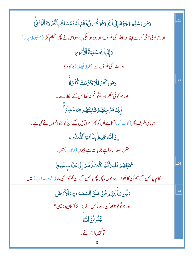| وَمَن يُسْلِمُ وَجُهَ <i>لَة</i> إِلَى ٱللَّهِوَهُوَ كُخْسِنٌ فَقَلِ ٱسْتَمۡسَكَ بِٱلۡعُرۡوَةِٱلۡوُثُقِّ | .22 |
|----------------------------------------------------------------------------------------------------------|-----|
| اور جو کوئی تابع کرے اپنامنہ اللہ کی طرف،اور وہ ہو نیکی پر ،سواس نے پکڑ امحکم کڑ ا(مضبوط سہارا)۔         |     |
| دَإِلَى ٱللَّهِ عَقِبَةُ ٱلۡأَهُوۡنِ                                                                     |     |
| اوراللہ کی طرف ہے آخر (فیصلہ) ہر کام کا۔                                                                 |     |
| وَمَن كَفَرَ فَلَا يَخَزُّنكَ كُفُرُ لَا                                                                 | .23 |
| اور جو کوئی منکر ہواتوٹو غم نہ کھااس کے انکار سے۔                                                        |     |
| ٳ۪ڶؽؘٮؘٙٲڡؘۯڿؚۼ۠ۿ۠ؽۯڡٚڹٞڹۜڐؚؚػ۠ۿ۠ۄۦؚٙڡؘٵڠڡؚڶ۠ۊٲٝ                                                         |     |
| ہماری طرف پھر (لوٹ کر) آناہےاُن کو پھر ہم جنائیں گے ان کو،جوانہوں نے کیاہے۔                              |     |
| إِنَّ ٱللَّٰٓعَلِيمُ بِنَاتِ ٱلصُّدُورِ                                                                  |     |
| مقرراللہ جانتاہے جوبات ہے جیوں( دلوں) میں۔                                                               |     |
| <sup>ڲ</sup> ٛڡۜؾۨڂۿ۠ؽٙۊؘڶٟۑڵٲڎٞۢڡؖٞ <i>ڐٮؘڞٛٞ</i> ڟڗ۠ۿؽٙٳ۪ڶؾؘڡؘؘڶٳٮ۪ڟٙڸؠڟٟ                              | .24 |
| کام چلائیں گے ہم اُن کا تھوڑے د نوں، پھر پکڑ بلائیں گے ان کو گاڑ ھی مار (سخت عذ اب ) میں۔                |     |
| وَلَبِن سَأَلْتَهُم مَّنْ خَلَقَ ٱلسَّمَوَاتِ وَٱلْأَمَّ ضَ                                              | .25 |
| اور جوتُو ل <sub>ک</sub> و پ <u>یھے</u> اُن سے ، <i>کس نے</i> بنائے آسان وزیین؟                          |     |
| لَيَقُولُنَّ اللَّهُ                                                                                     |     |
| توکہیں اللہ نے۔                                                                                          |     |
| 8                                                                                                        |     |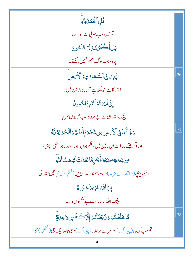| .<br>قُلِ ٱلۡكِمَٰڵُ لِلَّهِ                                                      |     |
|-----------------------------------------------------------------------------------|-----|
| تُو <sub>کهه ،</sub> سب خوبی الله کو ہے،                                          |     |
| بَلۡأَكۡثَرُهُمۡ[لَيۡعَلَّمُونَ                                                   |     |
| یر وہ بہت لوگ سمجھ نہیں رکھتے۔                                                    |     |
| لِلَّهِمَا فِى ٱلسَّمَىرَ ۚ تِ وَٱلۡأَيۡ ۚ ضِ                                     | .26 |
| اللہ کا ہے جو <u>پ</u> چھ ہے آس <mark>ان وزمین میں۔</mark>                        |     |
| إِنَّ اللَّهَهُوَ الْغَنِيُّ الْخَمِيلُ                                           |     |
| <mark>بیشک الل</mark> ّہ ہی ہے بے پر واہ سب خوبیوں سر اہا۔                        |     |
| وَلَوۡ أَنَّهَا فِى ٱلۡأَرۡمِضِ مِن شَجَرَةٍۚ أَقَلَمْ وَٱلۡبَحۡرُ يَمُلُّهُ      | .27 |
| اور اگر جتنے در خت <b>ہیں زمین میں، قلم</b> ہوں،اور سمند ر ہو اسکی س <u>ا</u> ہی، |     |
| ڝ <b>ۢڹػ</b> ڸٷ <sup>ۣ</sup> ؊ٙۼػڐؙٲٛۜۼٛڔؚڟۜڶڣؘؚڶڷ۞ؖػڸڡٮؾ۠ٱڵؘڷ <i>ۊ</i>           |     |
| اسکے پیچھپے (ساتھ ہوں مزید )سات سمندر،نہ نبڑیں(ختم ہوں) <b>باتیں اللہ کی۔</b>     |     |
| ٳۣڹؖٞٳٲڵڶ <i>ٙ</i> ٲڠڒۣؠڒ۠ۘڂؼؠڴ                                                   |     |
| بیشک اللہ زبر دست ہے حکمتوں والا۔                                                 |     |
| مَّا خَلَقْكُمۡ وَلَابَعۡثُكُمۡ إِلَّا كَنَفَّسٍ وَاحِدَةٍ                        | .28 |
| تم سب کو بنانا(پیداکرنا)اور مرے پر حلانا(پیداکرنا)وہی حبیباایک جی (تخص) کا۔       |     |
|                                                                                   |     |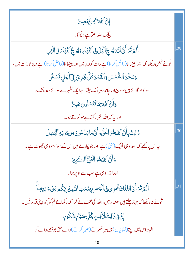$$
\frac{2}{3} \frac{1}{2} \frac{1}{2} \frac{1}{2} \frac{1}{2} \frac{1}{2} \frac{1}{2} \frac{1}{2} \frac{1}{2} \frac{1}{2} \frac{1}{2} \frac{1}{2} \frac{1}{2} \frac{1}{2} \frac{1}{2} \frac{1}{2} \frac{1}{2} \frac{1}{2} \frac{1}{2} \frac{1}{2} \frac{1}{2} \frac{1}{2} \frac{1}{2} \frac{1}{2} \frac{1}{2} \frac{1}{2} \frac{1}{2} \frac{1}{2} \frac{1}{2} \frac{1}{2} \frac{1}{2} \frac{1}{2} \frac{1}{2} \frac{1}{2} \frac{1}{2} \frac{1}{2} \frac{1}{2} \frac{1}{2} \frac{1}{2} \frac{1}{2} \frac{1}{2} \frac{1}{2} \frac{1}{2} \frac{1}{2} \frac{1}{2} \frac{1}{2} \frac{1}{2} \frac{1}{2} \frac{1}{2} \frac{1}{2} \frac{1}{2} \frac{1}{2} \frac{1}{2} \frac{1}{2} \frac{1}{2} \frac{1}{2} \frac{1}{2} \frac{1}{2} \frac{1}{2} \frac{1}{2} \frac{1}{2} \frac{1}{2} \frac{1}{2} \frac{1}{2} \frac{1}{2} \frac{1}{2} \frac{1}{2} \frac{1}{2} \frac{1}{2} \frac{1}{2} \frac{1}{2} \frac{1}{2} \frac{1}{2} \frac{1}{2} \frac{1}{2} \frac{1}{2} \frac{1}{2} \frac{1}{2} \frac{1}{2} \frac{1}{2} \frac{1}{2} \frac{1}{2} \frac{1}{2} \frac{1}{2} \frac{1}{2} \frac{1}{2} \frac{1}{2} \frac{1}{2} \frac{1}{2} \frac{1}{2} \frac{1}{2} \frac{1}{2} \frac{1}{2} \frac{1}{2} \frac{1}{2} \frac{1}{2} \frac{1}{2} \frac{1}{2} \frac{1}{2} \frac{1}{2} \frac{1}{2} \frac{1}{2} \frac{1}{2} \frac{1}{2} \frac{1}{2} \frac{1}{2} \frac{1}{2} \frac{1}{2} \frac{
$$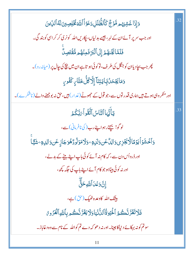| وَإِذَا غَشِيَهُم مَّوْجٌ كَٱلظُّلَلِ دَعَوُاْ اللَّهَ فُخُلِصِينَ لَهُ الدِّينَ                | .32 |
|-------------------------------------------------------------------------------------------------|-----|
| اور جب سر پر آئے ان کے لہر، جیسے بدلیاں، پکاریں اللہ کونری کر کر اسی کو بند گی۔                 |     |
| فَلَمَّا بَجَّاهُمۡ إِلَى ٱلۡبَرِّ فَمِنۡهُم مُّقۡتَصِڵٞ                                        |     |
| پھر جب بجاد یاان کو جنگل کی طرف، تو کوئی ہو تاہے ان میں بیچ کی <i>چ</i> ال پر (میانہ رو)۔       |     |
| وَمَايَجۡحَلُّ بِٓايَتِنَاۤا إِلَّا كُلُّ خَتَّارٍ كَفُورٍ                                      |     |
| اور منکر وہی ہوتے ہیں ہماری قدر توں سے ،جو قول کے حجھوٹے (غدار) ہیں،حق نہ بوجھنے والے (ناشکرے)۔ |     |
| يَأَيُّهَا ٱلتَّاسُ ٱتَّقُواۡ مَبَّكُمۡ                                                         | .33 |
| لوگو! بچتےرہوا پنےرب( کی نافرمانی)سے،                                                           |     |
| <u>و</u> َٱخۡشَوۡاۡيَوۡمَاڵٞٲێۼٞزِىوَالِڵٛٸۜۏڗڵؘڸٷٷڷٲۿۅ۬ڷۄ۠ۮ۠ۿؙۅؘڿٲزٟٸؘۏٵڶڸٳۊۜۨۦۺؘؿٗٓٵ          |     |
| اور ڈرواُس دن سے ، کہ کام نہ آئے کوئی باپ اپنے بیٹے کے بدلے،                                    |     |
| اور نہ کوئی بیٹاہو جو کام آئے اپنے باپ کی جگہ پچھ،                                              |     |
| ٳؚڹۜٞۥۏڡؘٛۮٲڷڶڸ؋ػۊۜؖٞ                                                                           |     |
| بیشک اللہ کاوعدہ ٹھیک (حق)ہے،                                                                   |     |
| فَلَاتَغُرَّ نَّكُمُ ٱلْحَيَوٰةُ ٱلدُّنۡيَاوَلَا يَغُرَّ نَّكُم بِٱللَّهِ ٱلْغَرُوعُ            |     |
| سوتم کو نہ بہکائے د نیاکا جینا۔اور نہ د ھو کہ دے تم کواللہ کے نام سے وہ د غاباز۔                |     |